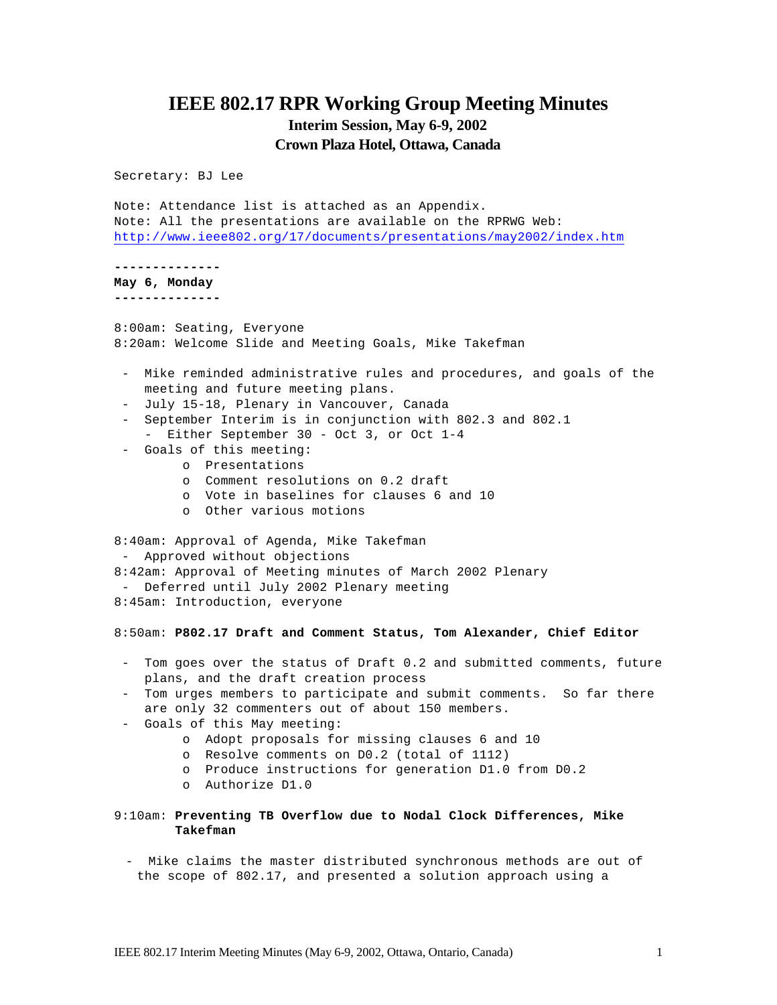# **IEEE 802.17 RPR Working Group Meeting Minutes Interim Session, May 6-9, 2002 Crown Plaza Hotel, Ottawa, Canada**

Secretary: BJ Lee

Note: Attendance list is attached as an Appendix. Note: All the presentations are available on the RPRWG Web: http://www.ieee802.org/17/documents/presentations/may2002/index.htm

**--------------**

**May 6, Monday --------------**

8:00am: Seating, Everyone 8:20am: Welcome Slide and Meeting Goals, Mike Takefman

- Mike reminded administrative rules and procedures, and goals of the meeting and future meeting plans.
- July 15-18, Plenary in Vancouver, Canada
- September Interim is in conjunction with 802.3 and 802.1 - Either September 30 - Oct 3, or Oct 1-4
- Goals of this meeting:
	- o Presentations
	- o Comment resolutions on 0.2 draft
	- o Vote in baselines for clauses 6 and 10
	- o Other various motions

8:40am: Approval of Agenda, Mike Takefman - Approved without objections 8:42am: Approval of Meeting minutes of March 2002 Plenary - Deferred until July 2002 Plenary meeting 8:45am: Introduction, everyone

8:50am: **P802.17 Draft and Comment Status, Tom Alexander, Chief Editor**

- Tom goes over the status of Draft 0.2 and submitted comments, future plans, and the draft creation process
- Tom urges members to participate and submit comments. So far there are only 32 commenters out of about 150 members.
- Goals of this May meeting:
	- o Adopt proposals for missing clauses 6 and 10
	- o Resolve comments on D0.2 (total of 1112)
	- o Produce instructions for generation D1.0 from D0.2
	- o Authorize D1.0
- 9:10am: **Preventing TB Overflow due to Nodal Clock Differences, Mike Takefman**
	- Mike claims the master distributed synchronous methods are out of the scope of 802.17, and presented a solution approach using a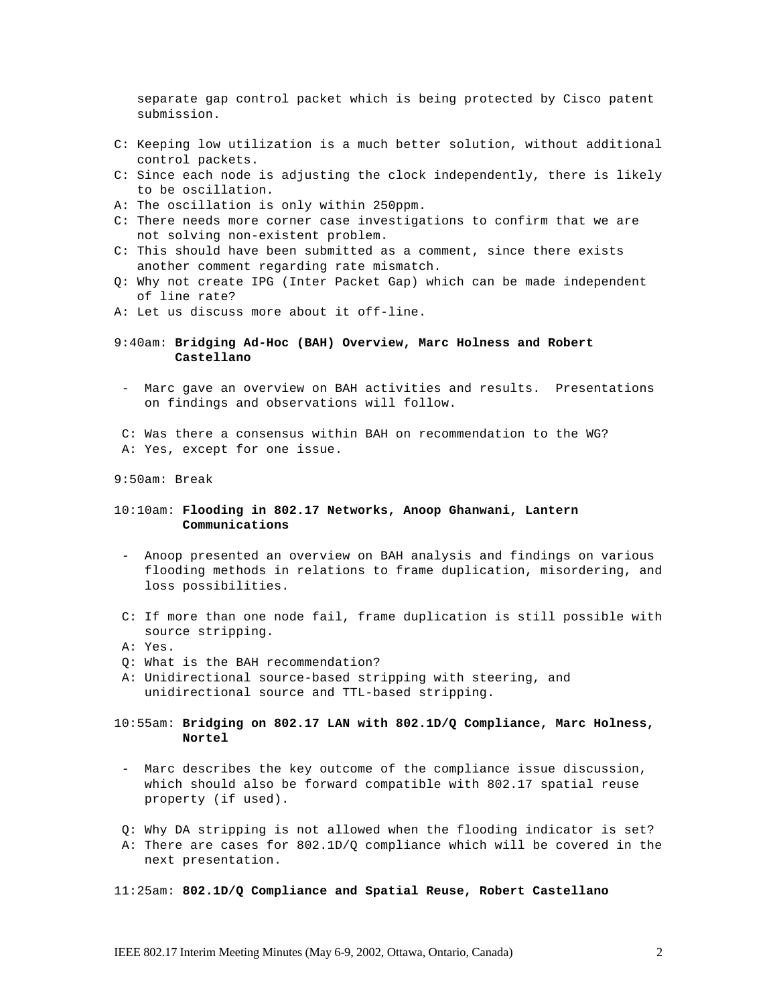separate gap control packet which is being protected by Cisco patent submission.

- C: Keeping low utilization is a much better solution, without additional control packets.
- C: Since each node is adjusting the clock independently, there is likely to be oscillation.
- A: The oscillation is only within 250ppm.
- C: There needs more corner case investigations to confirm that we are not solving non-existent problem.
- C: This should have been submitted as a comment, since there exists another comment regarding rate mismatch.
- Q: Why not create IPG (Inter Packet Gap) which can be made independent of line rate?
- A: Let us discuss more about it off-line.
- 9:40am: **Bridging Ad-Hoc (BAH) Overview, Marc Holness and Robert Castellano**
- Marc gave an overview on BAH activities and results. Presentations on findings and observations will follow.
- C: Was there a consensus within BAH on recommendation to the WG? A: Yes, except for one issue.
- 9:50am: Break

## 10:10am: **Flooding in 802.17 Networks, Anoop Ghanwani, Lantern Communications**

- Anoop presented an overview on BAH analysis and findings on various flooding methods in relations to frame duplication, misordering, and loss possibilities.
- C: If more than one node fail, frame duplication is still possible with source stripping.
- A: Yes.
- Q: What is the BAH recommendation?
- A: Unidirectional source-based stripping with steering, and unidirectional source and TTL-based stripping.
- 10:55am: **Bridging on 802.17 LAN with 802.1D/Q Compliance, Marc Holness, Nortel**
- Marc describes the key outcome of the compliance issue discussion, which should also be forward compatible with 802.17 spatial reuse property (if used).
- Q: Why DA stripping is not allowed when the flooding indicator is set?
- A: There are cases for 802.1D/Q compliance which will be covered in the next presentation.
- 11:25am: **802.1D/Q Compliance and Spatial Reuse, Robert Castellano**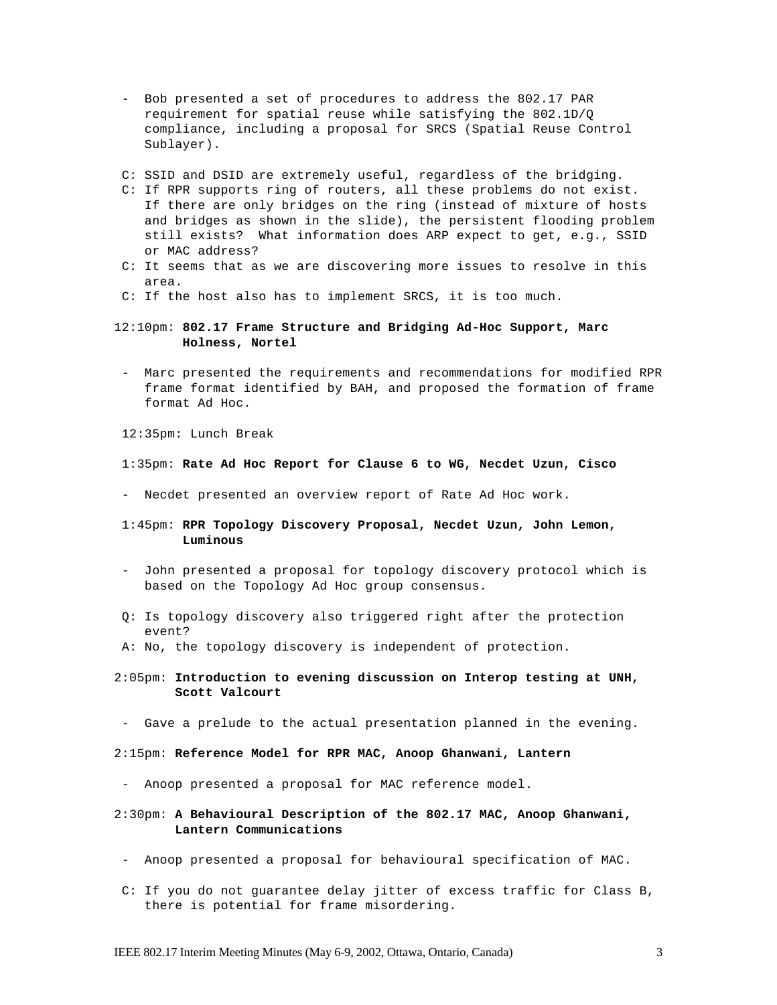- Bob presented a set of procedures to address the 802.17 PAR requirement for spatial reuse while satisfying the 802.1D/Q compliance, including a proposal for SRCS (Spatial Reuse Control Sublayer).
- C: SSID and DSID are extremely useful, regardless of the bridging.
- C: If RPR supports ring of routers, all these problems do not exist. If there are only bridges on the ring (instead of mixture of hosts and bridges as shown in the slide), the persistent flooding problem still exists? What information does ARP expect to get, e.g., SSID or MAC address?
- C: It seems that as we are discovering more issues to resolve in this area.
- C: If the host also has to implement SRCS, it is too much.

## 12:10pm: **802.17 Frame Structure and Bridging Ad-Hoc Support, Marc Holness, Nortel**

- Marc presented the requirements and recommendations for modified RPR frame format identified by BAH, and proposed the formation of frame format Ad Hoc.

12:35pm: Lunch Break

#### 1:35pm: **Rate Ad Hoc Report for Clause 6 to WG, Necdet Uzun, Cisco**

- Necdet presented an overview report of Rate Ad Hoc work.

#### 1:45pm: **RPR Topology Discovery Proposal, Necdet Uzun, John Lemon, Luminous**

- John presented a proposal for topology discovery protocol which is based on the Topology Ad Hoc group consensus.
- Q: Is topology discovery also triggered right after the protection event?
- A: No, the topology discovery is independent of protection.
- 2:05pm: **Introduction to evening discussion on Interop testing at UNH, Scott Valcourt**
- Gave a prelude to the actual presentation planned in the evening.
- 2:15pm: **Reference Model for RPR MAC, Anoop Ghanwani, Lantern**
- Anoop presented a proposal for MAC reference model.
- 2:30pm: **A Behavioural Description of the 802.17 MAC, Anoop Ghanwani, Lantern Communications**
- Anoop presented a proposal for behavioural specification of MAC.
- C: If you do not guarantee delay jitter of excess traffic for Class B, there is potential for frame misordering.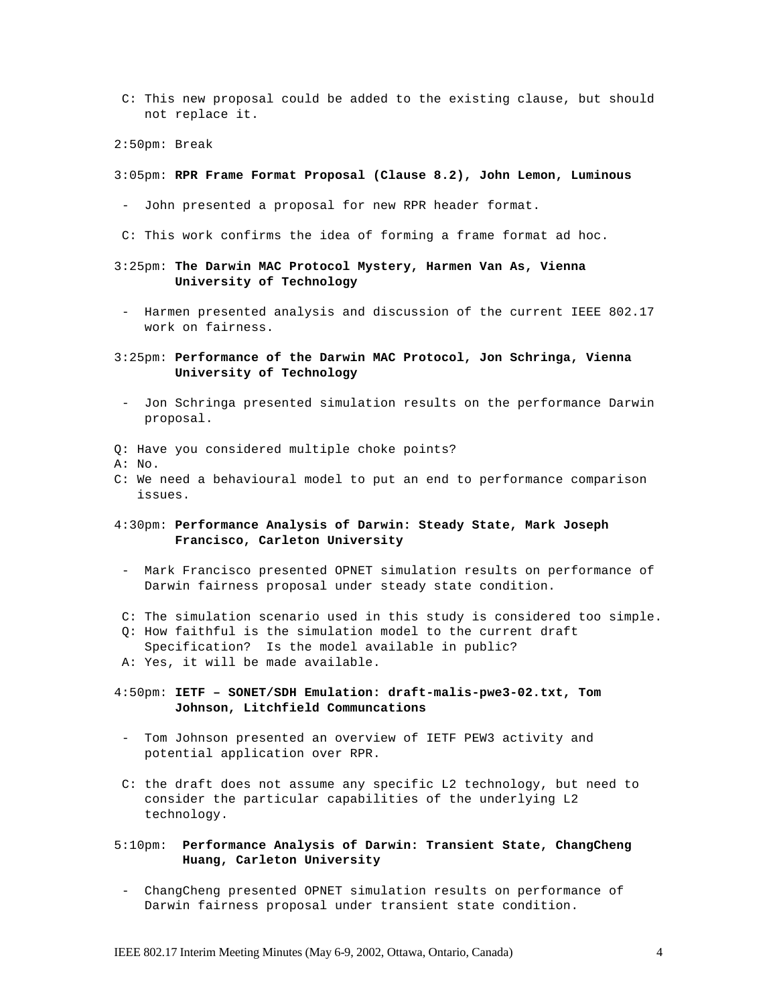- C: This new proposal could be added to the existing clause, but should not replace it.
- 2:50pm: Break
- 3:05pm: **RPR Frame Format Proposal (Clause 8.2), John Lemon, Luminous**
- John presented a proposal for new RPR header format.
- C: This work confirms the idea of forming a frame format ad hoc.
- 3:25pm: **The Darwin MAC Protocol Mystery, Harmen Van As, Vienna University of Technology**
- Harmen presented analysis and discussion of the current IEEE 802.17 work on fairness.
- 3:25pm: **Performance of the Darwin MAC Protocol, Jon Schringa, Vienna University of Technology**
- Jon Schringa presented simulation results on the performance Darwin proposal.
- Q: Have you considered multiple choke points?
- A: No.
- C: We need a behavioural model to put an end to performance comparison issues.
- 4:30pm: **Performance Analysis of Darwin: Steady State, Mark Joseph Francisco, Carleton University**
- Mark Francisco presented OPNET simulation results on performance of Darwin fairness proposal under steady state condition.
- C: The simulation scenario used in this study is considered too simple.
- Q: How faithful is the simulation model to the current draft Specification? Is the model available in public?
- A: Yes, it will be made available.
- 4:50pm: **IETF SONET/SDH Emulation: draft-malis-pwe3-02.txt, Tom Johnson, Litchfield Communcations**
	- Tom Johnson presented an overview of IETF PEW3 activity and potential application over RPR.
- C: the draft does not assume any specific L2 technology, but need to consider the particular capabilities of the underlying L2 technology.
- 5:10pm: **Performance Analysis of Darwin: Transient State, ChangCheng Huang, Carleton University**
- ChangCheng presented OPNET simulation results on performance of Darwin fairness proposal under transient state condition.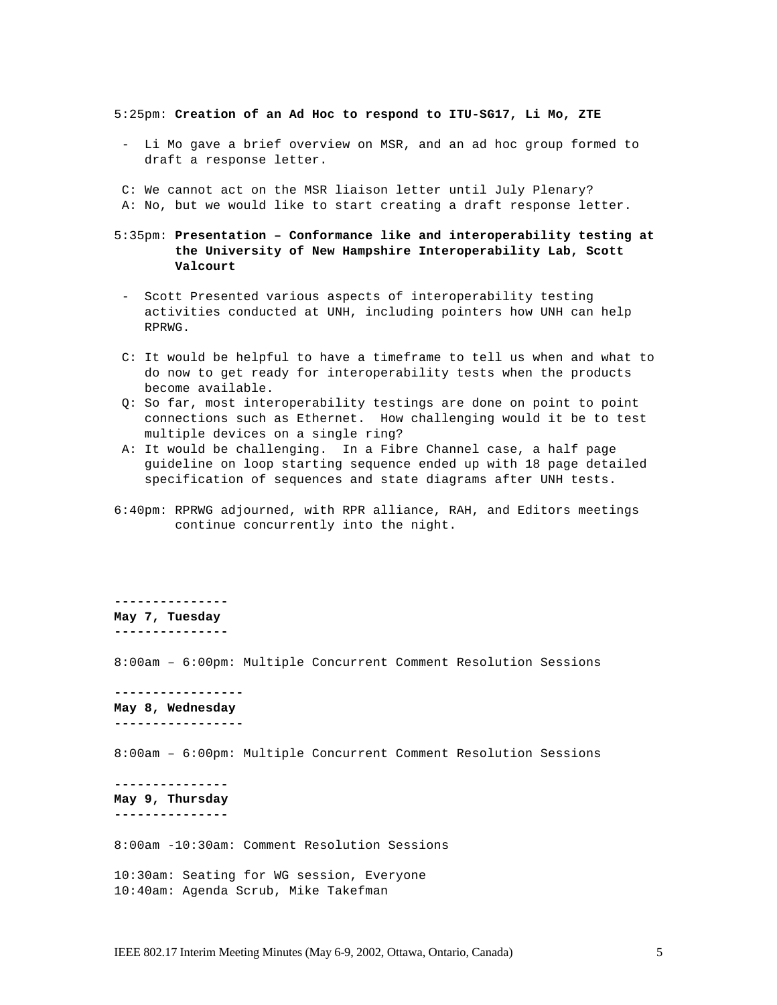5:25pm: **Creation of an Ad Hoc to respond to ITU-SG17, Li Mo, ZTE**

- Li Mo gave a brief overview on MSR, and an ad hoc group formed to draft a response letter.

C: We cannot act on the MSR liaison letter until July Plenary? A: No, but we would like to start creating a draft response letter.

- 5:35pm: **Presentation Conformance like and interoperability testing at the University of New Hampshire Interoperability Lab, Scott Valcourt**
- Scott Presented various aspects of interoperability testing activities conducted at UNH, including pointers how UNH can help RPRWG.
- C: It would be helpful to have a timeframe to tell us when and what to do now to get ready for interoperability tests when the products become available.
- Q: So far, most interoperability testings are done on point to point connections such as Ethernet. How challenging would it be to test multiple devices on a single ring?
- A: It would be challenging. In a Fibre Channel case, a half page guideline on loop starting sequence ended up with 18 page detailed specification of sequences and state diagrams after UNH tests.
- 6:40pm: RPRWG adjourned, with RPR alliance, RAH, and Editors meetings continue concurrently into the night.

**--------------- May 7, Tuesday ---------------** 8:00am – 6:00pm: Multiple Concurrent Comment Resolution Sessions

**----------------- May 8, Wednesday -----------------**

8:00am – 6:00pm: Multiple Concurrent Comment Resolution Sessions

**--------------- May 9, Thursday ---------------**

8:00am -10:30am: Comment Resolution Sessions

10:30am: Seating for WG session, Everyone 10:40am: Agenda Scrub, Mike Takefman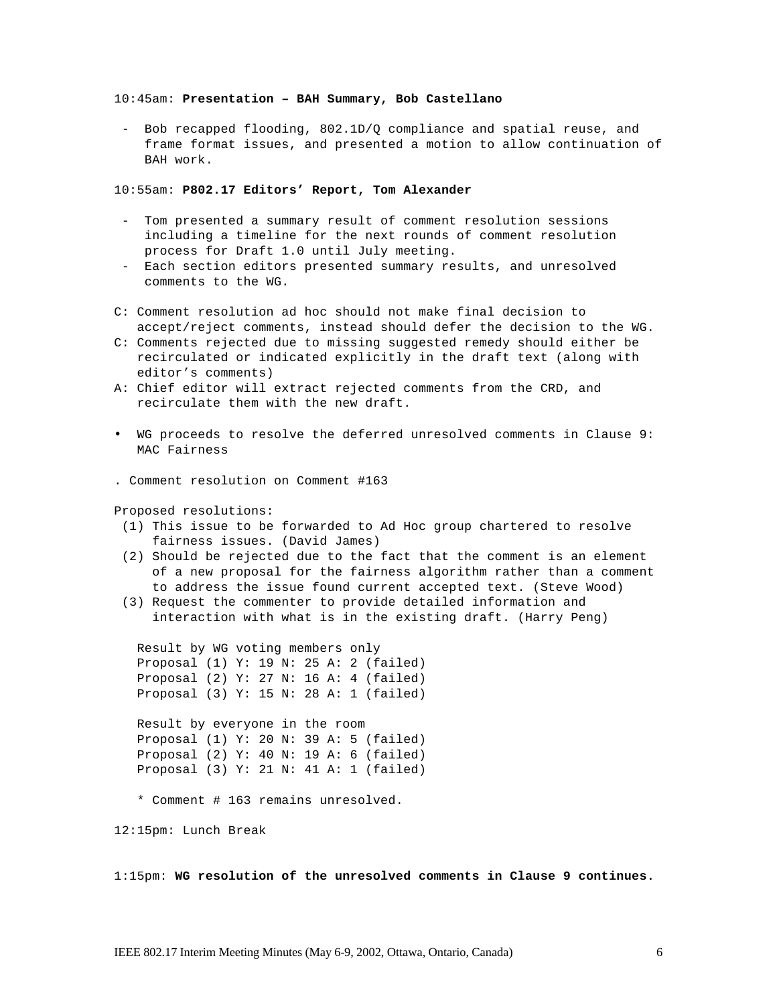### 10:45am: **Presentation – BAH Summary, Bob Castellano**

- Bob recapped flooding, 802.1D/Q compliance and spatial reuse, and frame format issues, and presented a motion to allow continuation of BAH work.

10:55am: **P802.17 Editors' Report, Tom Alexander**

- Tom presented a summary result of comment resolution sessions including a timeline for the next rounds of comment resolution process for Draft 1.0 until July meeting.
- Each section editors presented summary results, and unresolved comments to the WG.
- C: Comment resolution ad hoc should not make final decision to accept/reject comments, instead should defer the decision to the WG.
- C: Comments rejected due to missing suggested remedy should either be recirculated or indicated explicitly in the draft text (along with editor's comments)
- A: Chief editor will extract rejected comments from the CRD, and recirculate them with the new draft.
- WG proceeds to resolve the deferred unresolved comments in Clause 9: MAC Fairness

. Comment resolution on Comment #163

Proposed resolutions:

- (1) This issue to be forwarded to Ad Hoc group chartered to resolve fairness issues. (David James)
- (2) Should be rejected due to the fact that the comment is an element of a new proposal for the fairness algorithm rather than a comment to address the issue found current accepted text. (Steve Wood)
- (3) Request the commenter to provide detailed information and interaction with what is in the existing draft. (Harry Peng)

Result by WG voting members only Proposal (1) Y: 19 N: 25 A: 2 (failed) Proposal (2) Y: 27 N: 16 A: 4 (failed) Proposal (3) Y: 15 N: 28 A: 1 (failed)

Result by everyone in the room Proposal (1) Y: 20 N: 39 A: 5 (failed) Proposal (2) Y: 40 N: 19 A: 6 (failed) Proposal (3) Y: 21 N: 41 A: 1 (failed)

\* Comment # 163 remains unresolved.

12:15pm: Lunch Break

1:15pm: **WG resolution of the unresolved comments in Clause 9 continues.**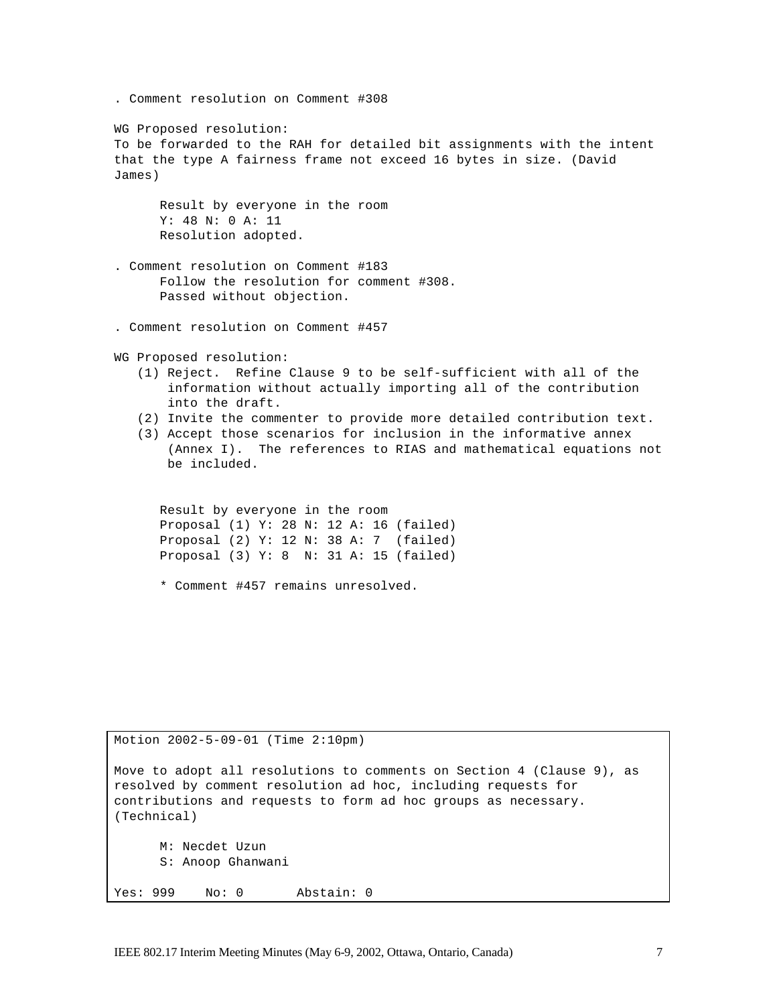```
. Comment resolution on Comment #308
WG Proposed resolution:
To be forwarded to the RAH for detailed bit assignments with the intent 
that the type A fairness frame not exceed 16 bytes in size. (David 
James)
     Result by everyone in the room
     Y: 48 N: 0 A: 11
     Resolution adopted.
. Comment resolution on Comment #183
      Follow the resolution for comment #308.
     Passed without objection.
. Comment resolution on Comment #457
WG Proposed resolution:
   (1) Reject. Refine Clause 9 to be self-sufficient with all of the 
       information without actually importing all of the contribution 
       into the draft.
   (2) Invite the commenter to provide more detailed contribution text.
   (3) Accept those scenarios for inclusion in the informative annex 
       (Annex I). The references to RIAS and mathematical equations not 
       be included.
     Result by everyone in the room
     Proposal (1) Y: 28 N: 12 A: 16 (failed)
     Proposal (2) Y: 12 N: 38 A: 7 (failed)
     Proposal (3) Y: 8 N: 31 A: 15 (failed)
      * Comment #457 remains unresolved.
```
Motion 2002-5-09-01 (Time 2:10pm) Move to adopt all resolutions to comments on Section 4 (Clause 9), as resolved by comment resolution ad hoc, including requests for contributions and requests to form ad hoc groups as necessary. (Technical) M: Necdet Uzun S: Anoop Ghanwani Yes: 999 No: 0 Abstain: 0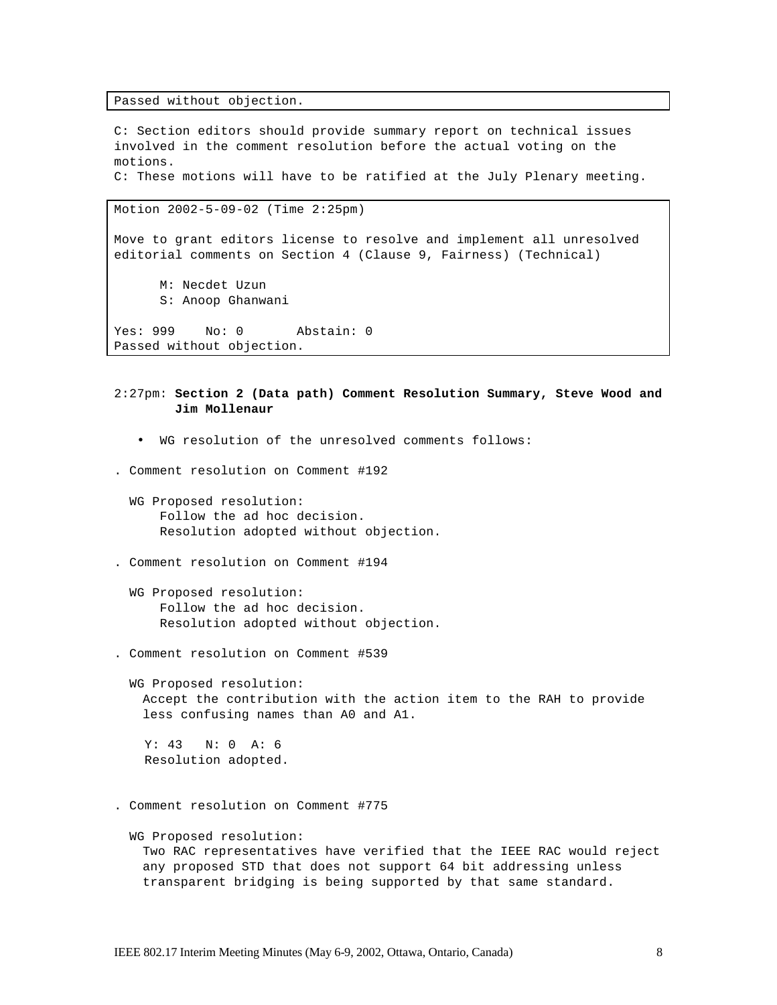Passed without objection.

C: Section editors should provide summary report on technical issues involved in the comment resolution before the actual voting on the motions. C: These motions will have to be ratified at the July Plenary meeting.

Motion 2002-5-09-02 (Time 2:25pm)

Move to grant editors license to resolve and implement all unresolved editorial comments on Section 4 (Clause 9, Fairness) (Technical)

M: Necdet Uzun S: Anoop Ghanwani

Yes: 999 No: 0 Abstain: 0 Passed without objection.

2:27pm: **Section 2 (Data path) Comment Resolution Summary, Steve Wood and Jim Mollenaur** 

• WG resolution of the unresolved comments follows:

. Comment resolution on Comment #192

 WG Proposed resolution: Follow the ad hoc decision. Resolution adopted without objection.

. Comment resolution on Comment #194

 WG Proposed resolution: Follow the ad hoc decision. Resolution adopted without objection.

. Comment resolution on Comment #539

 WG Proposed resolution: Accept the contribution with the action item to the RAH to provide less confusing names than A0 and A1.

 Y: 43 N: 0 A: 6 Resolution adopted.

. Comment resolution on Comment #775

 WG Proposed resolution: Two RAC representatives have verified that the IEEE RAC would reject any proposed STD that does not support 64 bit addressing unless transparent bridging is being supported by that same standard.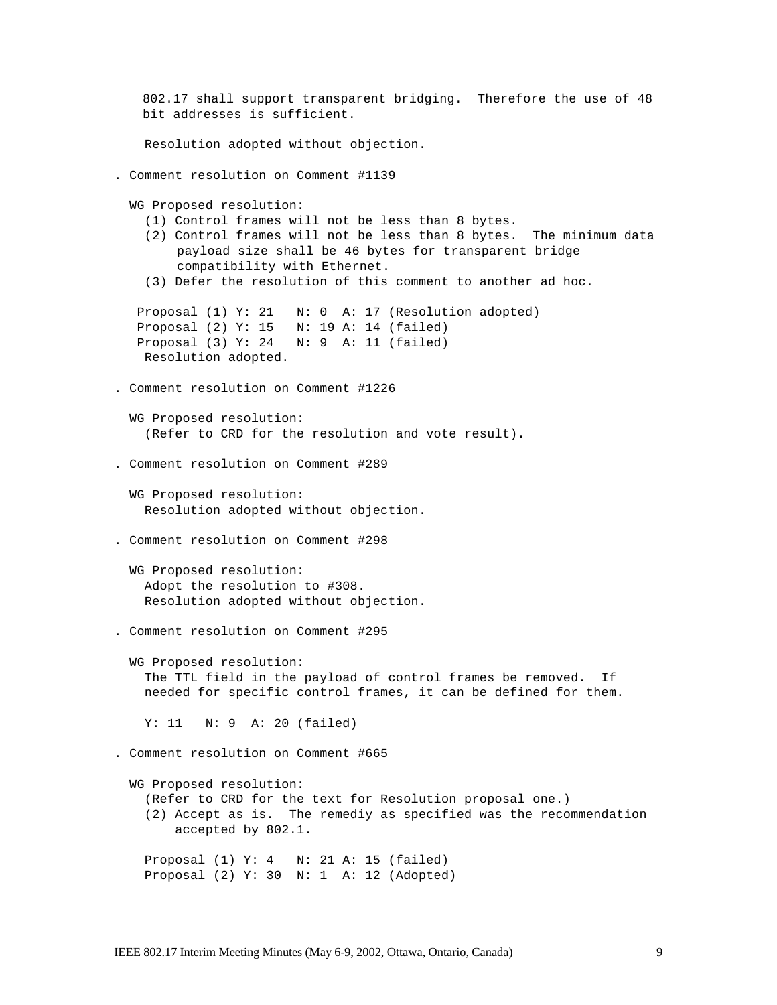```
802.17 shall support transparent bridging. Therefore the use of 48 
   bit addresses is sufficient. 
    Resolution adopted without objection.
. Comment resolution on Comment #1139
 WG Proposed resolution:
    (1) Control frames will not be less than 8 bytes.
    (2) Control frames will not be less than 8 bytes. The minimum data 
        payload size shall be 46 bytes for transparent bridge 
        compatibility with Ethernet.
    (3) Defer the resolution of this comment to another ad hoc.
  Proposal (1) Y: 21 N: 0 A: 17 (Resolution adopted)
   Proposal (2) Y: 15 N: 19 A: 14 (failed)
   Proposal (3) Y: 24 N: 9 A: 11 (failed)
    Resolution adopted.
. Comment resolution on Comment #1226
  WG Proposed resolution:
    (Refer to CRD for the resolution and vote result).
. Comment resolution on Comment #289
  WG Proposed resolution:
    Resolution adopted without objection.
. Comment resolution on Comment #298
 WG Proposed resolution:
    Adopt the resolution to #308.
    Resolution adopted without objection.
. Comment resolution on Comment #295
 WG Proposed resolution:
    The TTL field in the payload of control frames be removed. If 
    needed for specific control frames, it can be defined for them.
    Y: 11 N: 9 A: 20 (failed)
. Comment resolution on Comment #665
 WG Proposed resolution:
    (Refer to CRD for the text for Resolution proposal one.)
    (2) Accept as is. The remediy as specified was the recommendation 
        accepted by 802.1.
    Proposal (1) Y: 4 N: 21 A: 15 (failed)
    Proposal (2) Y: 30 N: 1 A: 12 (Adopted)
```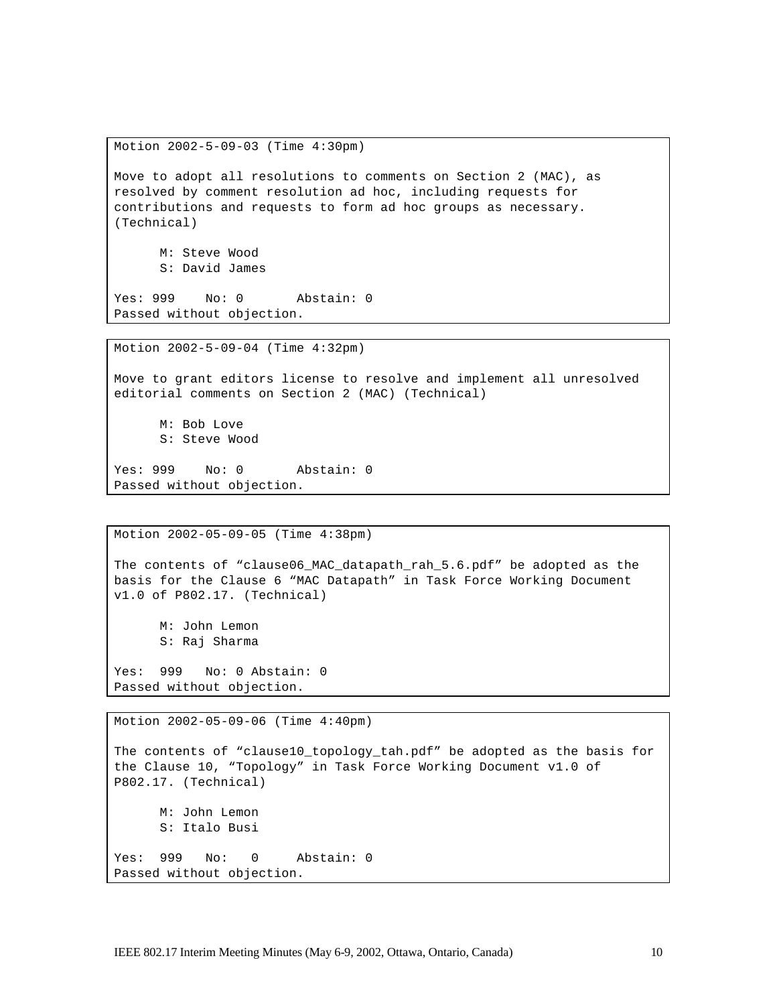Motion 2002-5-09-03 (Time 4:30pm)

Move to adopt all resolutions to comments on Section 2 (MAC), as resolved by comment resolution ad hoc, including requests for contributions and requests to form ad hoc groups as necessary. (Technical)

M: Steve Wood S: David James

Yes: 999 No: 0 Abstain: 0 Passed without objection.

Motion 2002-5-09-04 (Time 4:32pm)

Move to grant editors license to resolve and implement all unresolved editorial comments on Section 2 (MAC) (Technical)

M: Bob Love S: Steve Wood

Yes: 999 No: 0 Abstain: 0 Passed without objection.

Motion 2002-05-09-05 (Time 4:38pm)

The contents of "clause06\_MAC\_datapath\_rah\_5.6.pdf" be adopted as the basis for the Clause 6 "MAC Datapath" in Task Force Working Document v1.0 of P802.17. (Technical)

M: John Lemon S: Raj Sharma

Yes: 999 No: 0 Abstain: 0 Passed without objection.

Motion 2002-05-09-06 (Time 4:40pm)

The contents of "clause10\_topology\_tah.pdf" be adopted as the basis for the Clause 10, "Topology" in Task Force Working Document v1.0 of P802.17. (Technical) M: John Lemon S: Italo Busi Yes: 999 No: 0 Abstain: 0 Passed without objection.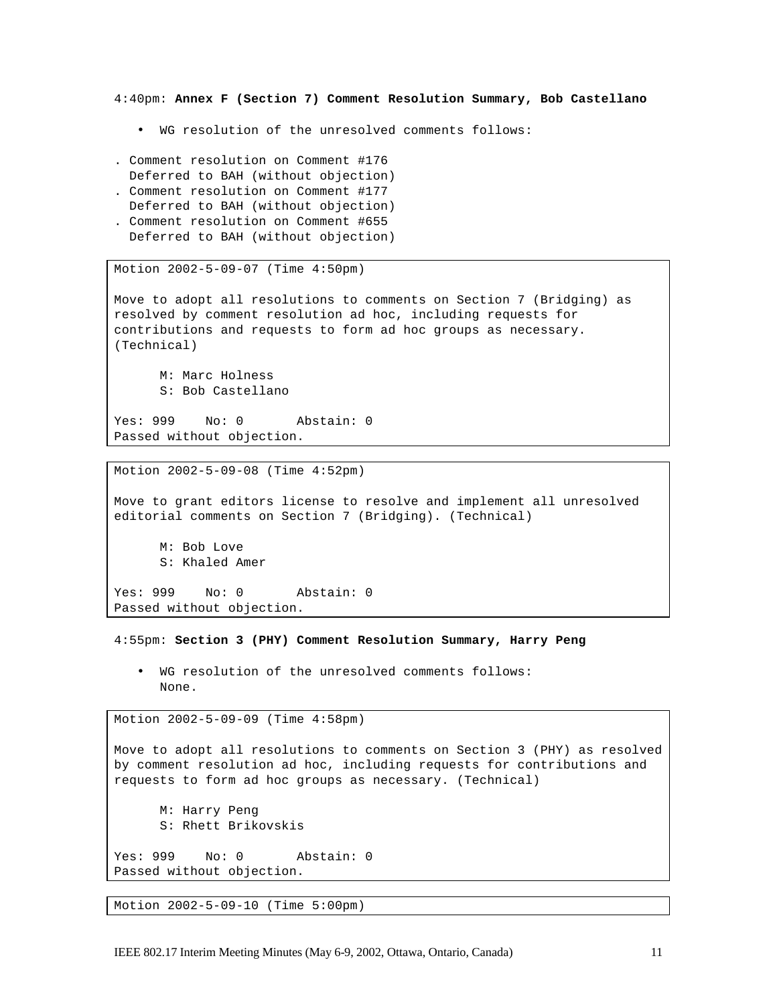4:40pm: **Annex F (Section 7) Comment Resolution Summary, Bob Castellano** 

- WG resolution of the unresolved comments follows:
- . Comment resolution on Comment #176 Deferred to BAH (without objection)
- . Comment resolution on Comment #177
- Deferred to BAH (without objection)
- . Comment resolution on Comment #655 Deferred to BAH (without objection)

Motion 2002-5-09-07 (Time 4:50pm)

Move to adopt all resolutions to comments on Section 7 (Bridging) as resolved by comment resolution ad hoc, including requests for contributions and requests to form ad hoc groups as necessary. (Technical)

M: Marc Holness S: Bob Castellano

Yes: 999 No: 0 Abstain: 0 Passed without objection.

Motion 2002-5-09-08 (Time 4:52pm)

Move to grant editors license to resolve and implement all unresolved editorial comments on Section 7 (Bridging). (Technical)

M: Bob Love S: Khaled Amer

Yes: 999 No: 0 Abstain: 0 Passed without objection.

4:55pm: **Section 3 (PHY) Comment Resolution Summary, Harry Peng** 

• WG resolution of the unresolved comments follows: None.

Motion 2002-5-09-09 (Time 4:58pm)

Move to adopt all resolutions to comments on Section 3 (PHY) as resolved by comment resolution ad hoc, including requests for contributions and requests to form ad hoc groups as necessary. (Technical)

M: Harry Peng S: Rhett Brikovskis Yes: 999 No: 0 Abstain: 0 Passed without objection.

Motion 2002-5-09-10 (Time 5:00pm)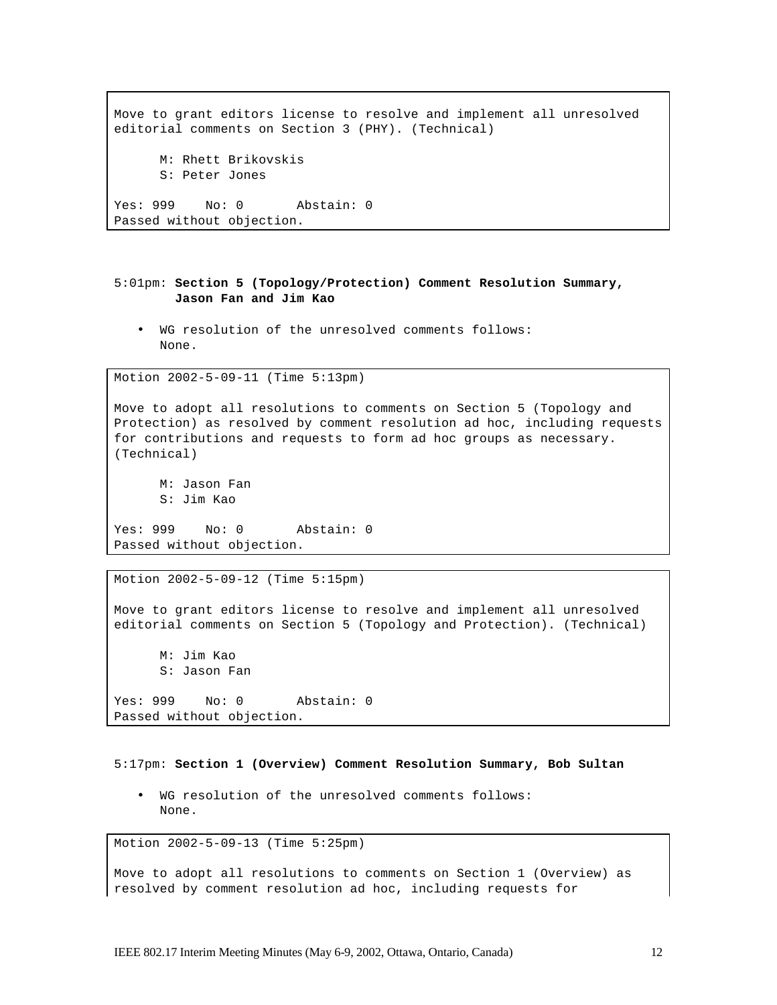```
Move to grant editors license to resolve and implement all unresolved 
editorial comments on Section 3 (PHY). (Technical)
     M: Rhett Brikovskis
     S: Peter Jones
Yes: 999 No: 0 Abstain: 0
Passed without objection.
```
## 5:01pm: **Section 5 (Topology/Protection) Comment Resolution Summary, Jason Fan and Jim Kao**

• WG resolution of the unresolved comments follows: None.

```
Motion 2002-5-09-11 (Time 5:13pm)
```
Move to adopt all resolutions to comments on Section 5 (Topology and Protection) as resolved by comment resolution ad hoc, including requests for contributions and requests to form ad hoc groups as necessary. (Technical)

M: Jason Fan S: Jim Kao Yes: 999 No: 0 Abstain: 0 Passed without objection.

Motion 2002-5-09-12 (Time 5:15pm)

Move to grant editors license to resolve and implement all unresolved editorial comments on Section 5 (Topology and Protection). (Technical)

M: Jim Kao S: Jason Fan Yes: 999 No: 0 Abstain: 0 Passed without objection.

5:17pm: **Section 1 (Overview) Comment Resolution Summary, Bob Sultan**

• WG resolution of the unresolved comments follows: None.

Motion 2002-5-09-13 (Time 5:25pm)

Move to adopt all resolutions to comments on Section 1 (Overview) as resolved by comment resolution ad hoc, including requests for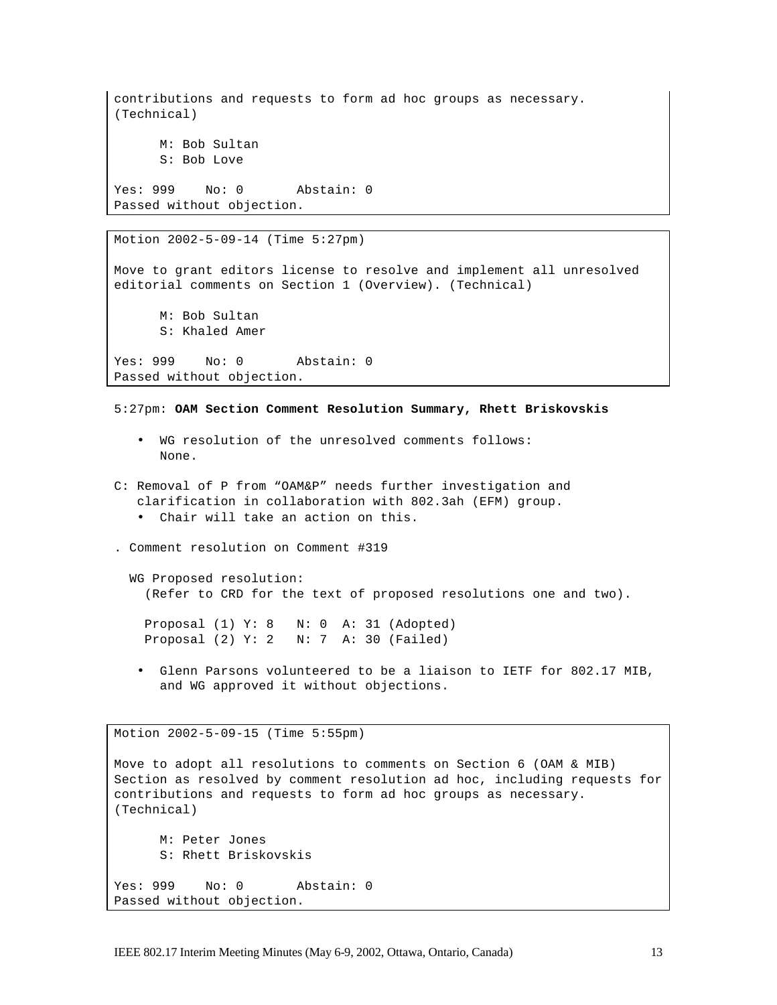```
contributions and requests to form ad hoc groups as necessary. 
(Technical)
     M: Bob Sultan
     S: Bob Love
Yes: 999 No: 0 Abstain: 0
Passed without objection.
```

```
Motion 2002-5-09-14 (Time 5:27pm)
Move to grant editors license to resolve and implement all unresolved 
editorial comments on Section 1 (Overview). (Technical)
      M: Bob Sultan
      S: Khaled Amer
Yes: 999 No: 0 Abstain: 0
Passed without objection.
```
5:27pm: **OAM Section Comment Resolution Summary, Rhett Briskovskis**

- WG resolution of the unresolved comments follows: None.
- C: Removal of P from "OAM&P" needs further investigation and clarification in collaboration with 802.3ah (EFM) group. • Chair will take an action on this.

. Comment resolution on Comment #319

WG Proposed resolution: (Refer to CRD for the text of proposed resolutions one and two).

 Proposal (1) Y: 8 N: 0 A: 31 (Adopted) Proposal (2) Y: 2 N: 7 A: 30 (Failed)

• Glenn Parsons volunteered to be a liaison to IETF for 802.17 MIB, and WG approved it without objections.

```
Motion 2002-5-09-15 (Time 5:55pm)
Move to adopt all resolutions to comments on Section 6 (OAM & MIB) 
Section as resolved by comment resolution ad hoc, including requests for 
contributions and requests to form ad hoc groups as necessary. 
(Technical)
     M: Peter Jones
     S: Rhett Briskovskis
Yes: 999 No: 0 Abstain: 0
Passed without objection.
```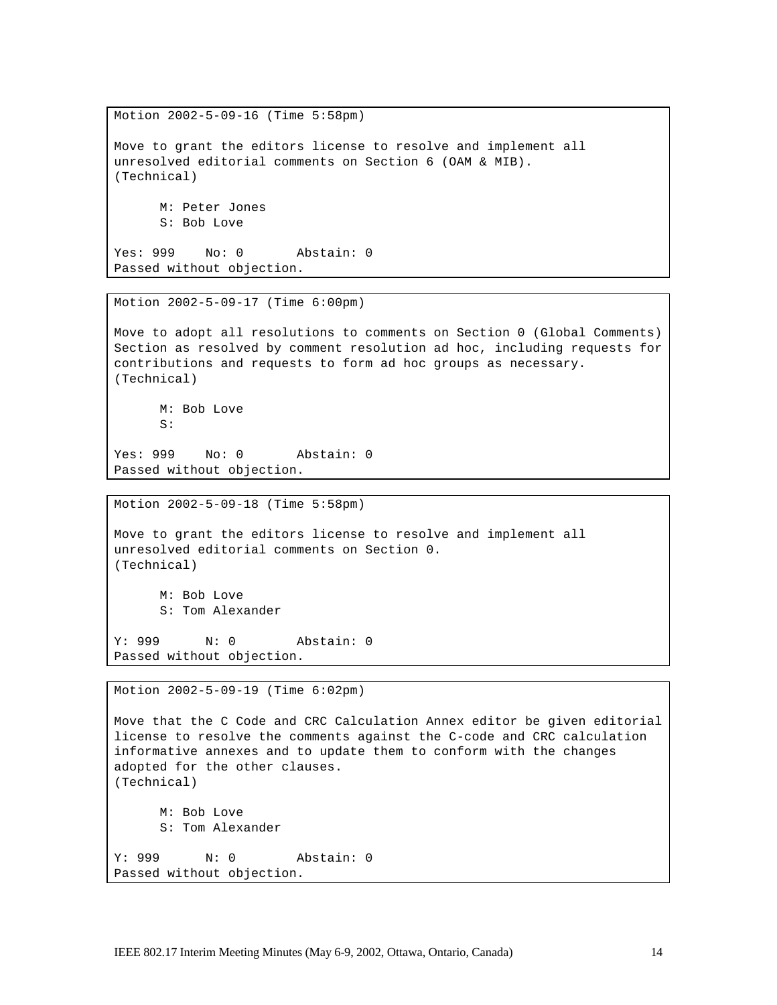Motion 2002-5-09-16 (Time 5:58pm) Move to grant the editors license to resolve and implement all unresolved editorial comments on Section 6 (OAM & MIB). (Technical) M: Peter Jones S: Bob Love Yes: 999 No: 0 Abstain: 0

Passed without objection.

Motion 2002-5-09-17 (Time 6:00pm)

Move to adopt all resolutions to comments on Section 0 (Global Comments) Section as resolved by comment resolution ad hoc, including requests for contributions and requests to form ad hoc groups as necessary. (Technical)

M: Bob Love  $S$ :

Yes: 999 No: 0 Abstain: 0 Passed without objection.

Motion 2002-5-09-18 (Time 5:58pm)

Move to grant the editors license to resolve and implement all unresolved editorial comments on Section 0. (Technical) M: Bob Love

S: Tom Alexander

Y: 999 N: 0 Abstain: 0 Passed without objection.

Motion 2002-5-09-19 (Time 6:02pm)

Move that the C Code and CRC Calculation Annex editor be given editorial license to resolve the comments against the C-code and CRC calculation informative annexes and to update them to conform with the changes adopted for the other clauses. (Technical) M: Bob Love S: Tom Alexander Y: 999 N: 0 Abstain: 0 Passed without objection.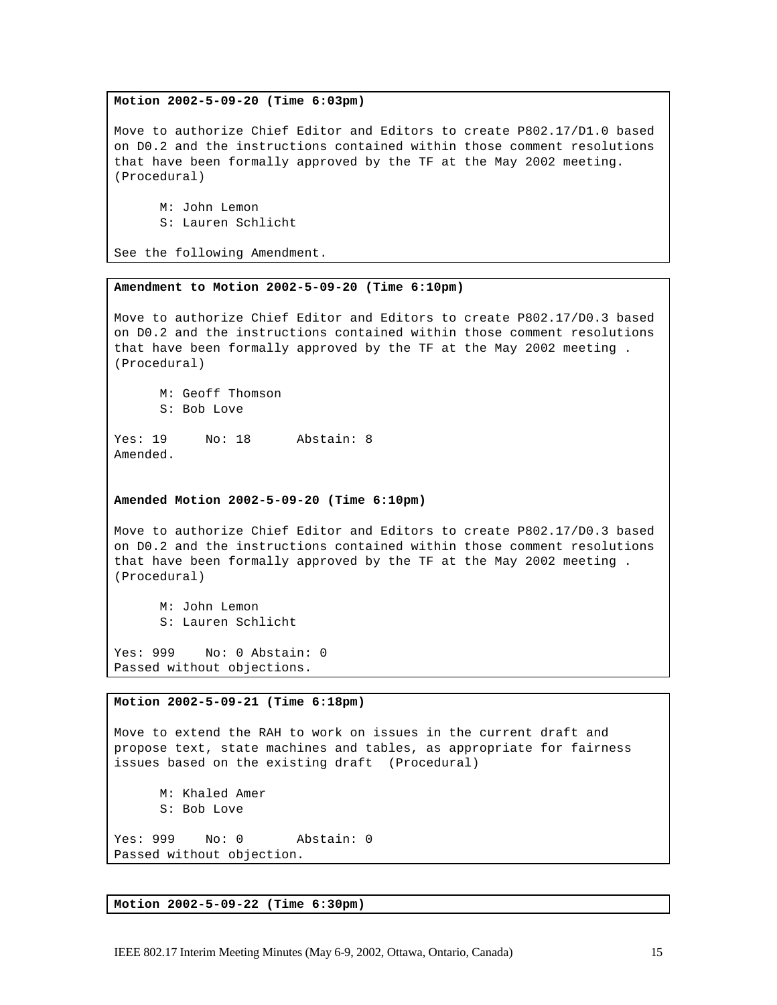#### **Motion 2002-5-09-20 (Time 6:03pm)**

Move to authorize Chief Editor and Editors to create P802.17/D1.0 based on D0.2 and the instructions contained within those comment resolutions that have been formally approved by the TF at the May 2002 meeting. (Procedural)

M: John Lemon S: Lauren Schlicht

See the following Amendment.

#### **Amendment to Motion 2002-5-09-20 (Time 6:10pm)**

Move to authorize Chief Editor and Editors to create P802.17/D0.3 based on D0.2 and the instructions contained within those comment resolutions that have been formally approved by the TF at the May 2002 meeting . (Procedural)

M: Geoff Thomson S: Bob Love

Yes: 19 No: 18 Abstain: 8 Amended.

## **Amended Motion 2002-5-09-20 (Time 6:10pm)**

Move to authorize Chief Editor and Editors to create P802.17/D0.3 based on D0.2 and the instructions contained within those comment resolutions that have been formally approved by the TF at the May 2002 meeting . (Procedural)

M: John Lemon S: Lauren Schlicht

Yes: 999 No: 0 Abstain: 0 Passed without objections.

#### **Motion 2002-5-09-21 (Time 6:18pm)**

Move to extend the RAH to work on issues in the current draft and propose text, state machines and tables, as appropriate for fairness issues based on the existing draft (Procedural)

M: Khaled Amer S: Bob Love

Yes: 999 No: 0 Abstain: 0 Passed without objection.

**Motion 2002-5-09-22 (Time 6:30pm)**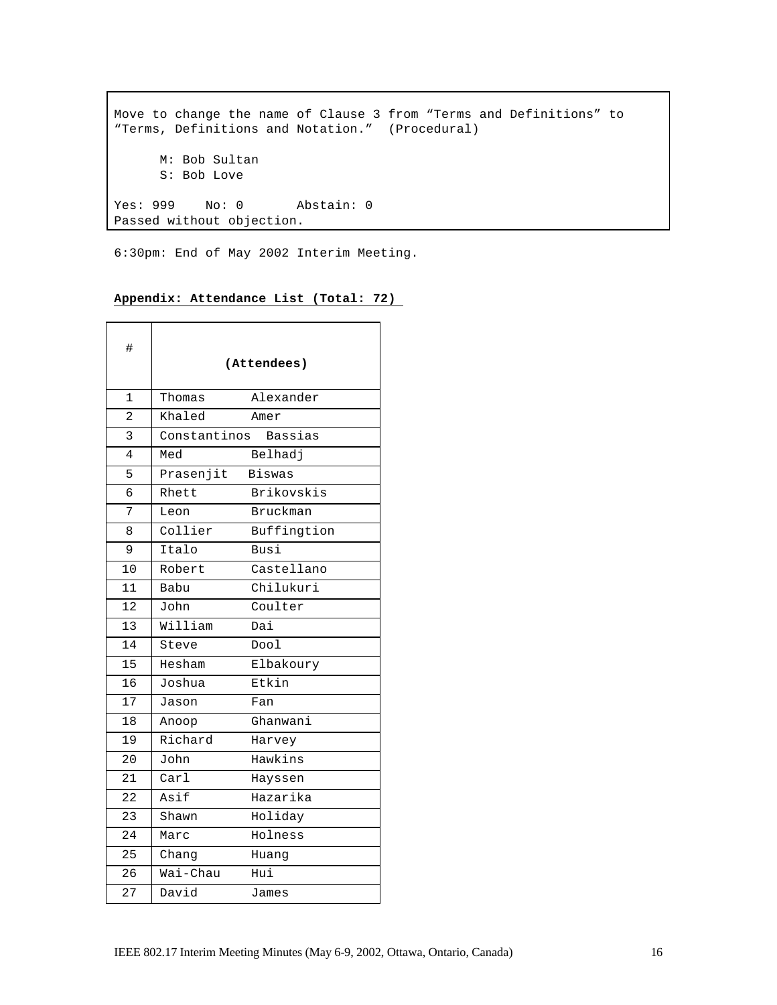Move to change the name of Clause 3 from "Terms and Definitions" to "Terms, Definitions and Notation." (Procedural) M: Bob Sultan S: Bob Love Yes: 999 No: 0 Abstain: 0 Passed without objection.

6:30pm: End of May 2002 Interim Meeting.

## **Appendix: Attendance List (Total: 72)**

| #             |               | (Attendees)    |
|---------------|---------------|----------------|
| 1             | Thomas        | Alexander      |
| $\mathcal{D}$ | Khaled        | Amer           |
| 3             | Constantinos  | <b>Bassias</b> |
| 4             | Med           | Belhadj        |
| 5             | Prasenjit     | Biswas         |
| 6             | Rhett         | Brikovskis     |
| 7             | Leon          | Bruckman       |
| 8             | Collier       | Buffingtion    |
| 9             | Italo         | Busi           |
| 10            | Robert        | Castellano     |
| 11            | Babu          | Chilukuri      |
| 12            | John          | Coulter        |
| 13            | William       | Dai            |
| 14            | Steve         | Dool           |
| 15            | Hesham        | Elbakoury      |
| 16            | Joshua        | Etkin          |
| 17            | Jason         | Fan            |
| 18            | Anoop         | Ghanwani       |
| 19            | Richard       | Harvey         |
| 20            | John          | Hawkins        |
| 21            | $\text{Carl}$ | Hayssen        |
| 22            | Asif          | Hazarika       |
| 23            | Shawn         | Holiday        |
| 24            | Marc          | Holness        |
| 25            | Chang         | Huang          |
| 26            | Wai-Chau      | Hui            |
| 27            | David         | James          |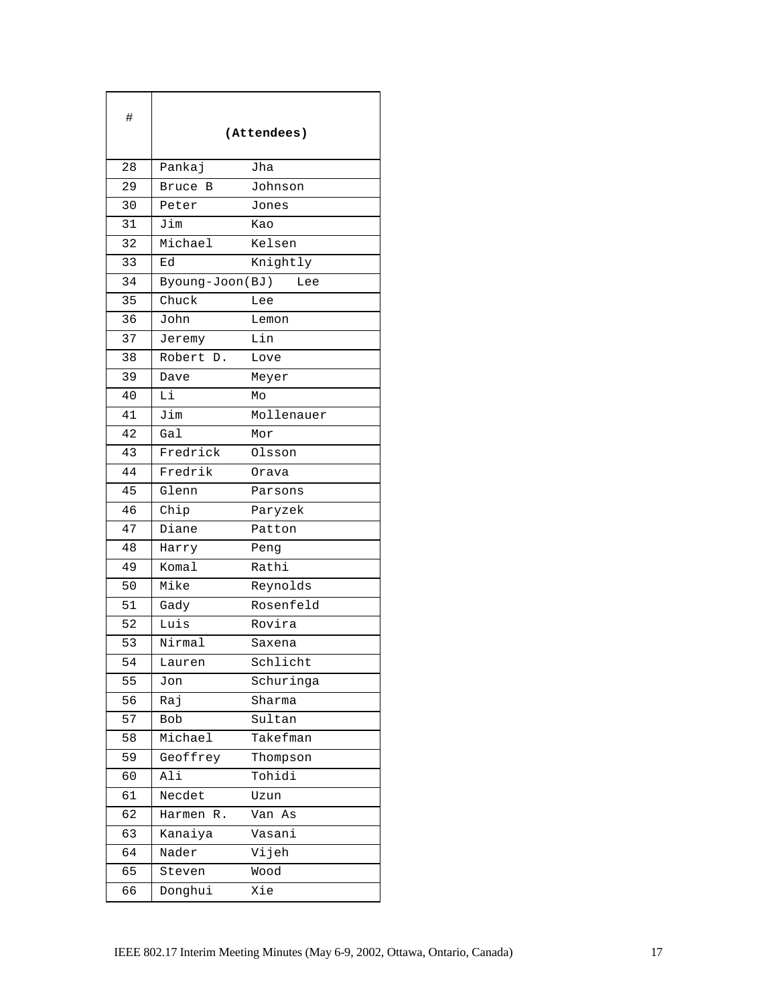| #  |                 | (Attendees) |
|----|-----------------|-------------|
| 28 | Pankaj          | Jha         |
| 29 | Bruce<br>В      | Johnson     |
| 30 | Peter           | Jones       |
| 31 | Jim             | Kao         |
| 32 | Michael         | Kelsen      |
| 33 | Еd              | Knightly    |
| 34 | Byoung-Joon(BJ) | Lee         |
| 35 | Chuck           | Lee         |
| 36 | John            | Lemon       |
| 37 | Jeremy          | Lin         |
| 38 | Robert D.       | Love        |
| 39 | Dave            | Meyer       |
| 40 | Li              | Mo          |
| 41 | Jim             | Mollenauer  |
| 42 | Gal             | Mor         |
| 43 | Fredrick        | Olsson      |
| 44 | Fredrik         | Orava       |
| 45 | Glenn           | Parsons     |
| 46 | Chip            | Paryzek     |
| 47 | Diane           | Patton      |
| 48 | Harry           | Peng        |
| 49 | Komal           | Rathi       |
| 50 | Mike            | Reynolds    |
| 51 | Gady            | Rosenfeld   |
| 52 | Luis            | Rovira      |
| 53 | Nirmal          | Saxena      |
| 54 | Lauren          | Schlicht    |
| 55 | Jon             | Schuringa   |
| 56 | Raj             | Sharma      |
| 57 | <b>Bob</b>      | Sultan      |
| 58 | Michael         | Takefman    |
| 59 | Geoffrey        | Thompson    |
| 60 | Ali             | Tohidi      |
| 61 | Necdet          | Uzun        |
| 62 | Harmen<br>$R$ . | Van<br>As   |
| 63 | Kanaiya         | Vasani      |
| 64 | Nader           | Vijeh       |
| 65 | Steven          | Wood        |
| 66 | Donghui         | Xie         |